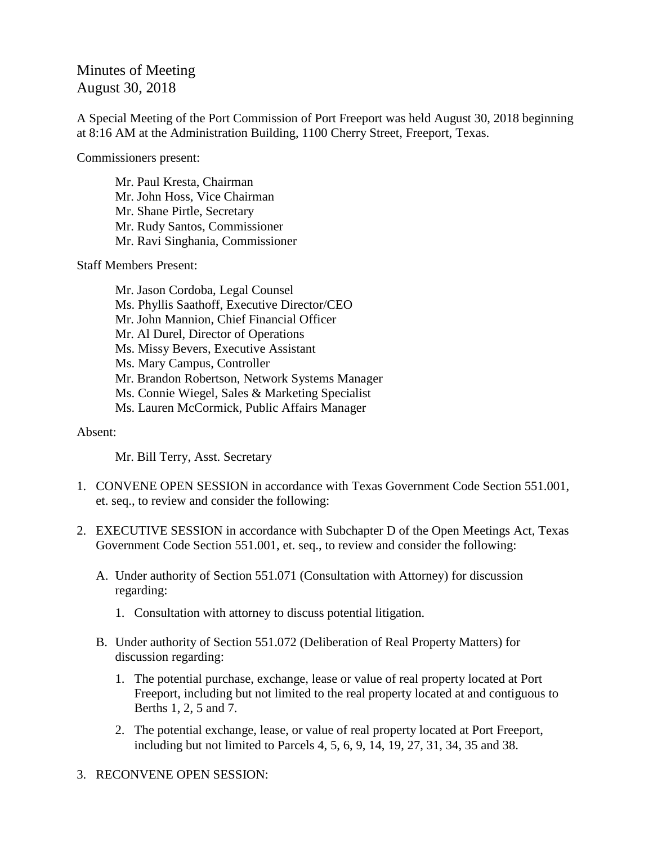## Minutes of Meeting August 30, 2018

A Special Meeting of the Port Commission of Port Freeport was held August 30, 2018 beginning at 8:16 AM at the Administration Building, 1100 Cherry Street, Freeport, Texas.

Commissioners present:

Mr. Paul Kresta, Chairman Mr. John Hoss, Vice Chairman Mr. Shane Pirtle, Secretary Mr. Rudy Santos, Commissioner Mr. Ravi Singhania, Commissioner

Staff Members Present:

Mr. Jason Cordoba, Legal Counsel Ms. Phyllis Saathoff, Executive Director/CEO Mr. John Mannion, Chief Financial Officer Mr. Al Durel, Director of Operations Ms. Missy Bevers, Executive Assistant Ms. Mary Campus, Controller Mr. Brandon Robertson, Network Systems Manager Ms. Connie Wiegel, Sales & Marketing Specialist Ms. Lauren McCormick, Public Affairs Manager

## Absent:

Mr. Bill Terry, Asst. Secretary

- 1. CONVENE OPEN SESSION in accordance with Texas Government Code Section 551.001, et. seq., to review and consider the following:
- 2. EXECUTIVE SESSION in accordance with Subchapter D of the Open Meetings Act, Texas Government Code Section 551.001, et. seq., to review and consider the following:
	- A. Under authority of Section 551.071 (Consultation with Attorney) for discussion regarding:
		- 1. Consultation with attorney to discuss potential litigation.
	- B. Under authority of Section 551.072 (Deliberation of Real Property Matters) for discussion regarding:
		- 1. The potential purchase, exchange, lease or value of real property located at Port Freeport, including but not limited to the real property located at and contiguous to Berths 1, 2, 5 and 7.
		- 2. The potential exchange, lease, or value of real property located at Port Freeport, including but not limited to Parcels 4, 5, 6, 9, 14, 19, 27, 31, 34, 35 and 38.
- 3. RECONVENE OPEN SESSION: